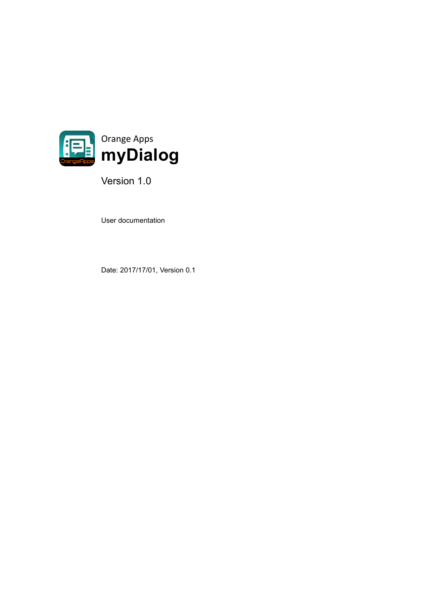

Version 1.0

User documentation

Date: 2017/17/01, Version 0.1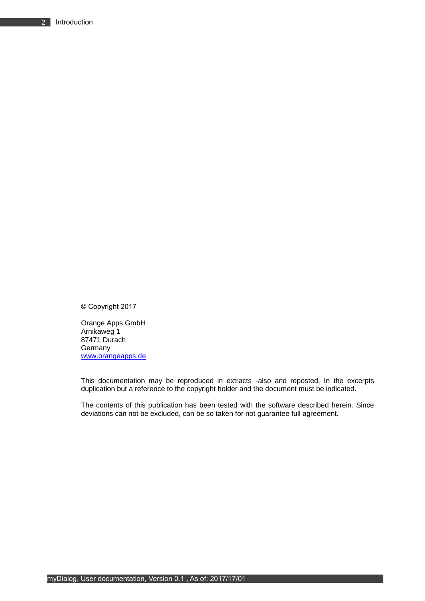© Copyright 2017

Orange Apps GmbH Arnikaweg 1 87471 Durach Germany [www.orangeapps.de](http://www.orangeapps.de/)

This documentation may be reproduced in extracts -also and reposted. In the excerpts duplication but a reference to the copyright holder and the document must be indicated.

The contents of this publication has been tested with the software described herein. Since deviations can not be excluded, can be so taken for not guarantee full agreement.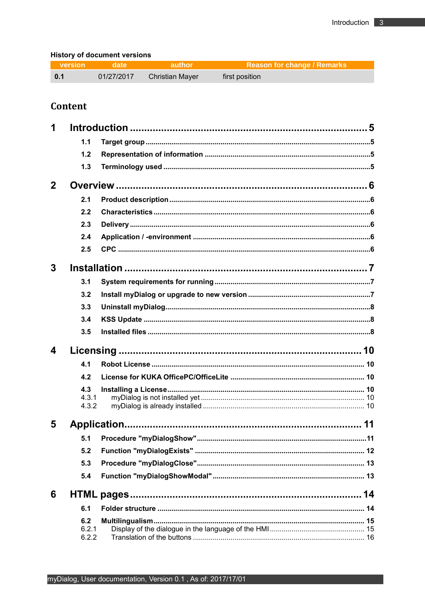## **History of document versions**

| version            | <u>andate</u> | <b>author</b>          | <b>Example 2 Reason for change / Remarks</b> |
|--------------------|---------------|------------------------|----------------------------------------------|
| $\blacksquare$ 0.1 | 01/27/2017    | <b>Christian Mayer</b> | first position                               |

# Content

| 1            |                |                              |      |
|--------------|----------------|------------------------------|------|
|              | 1.1            |                              |      |
|              | 1.2            |                              |      |
|              | 1.3            |                              |      |
| $\mathbf{2}$ |                |                              |      |
|              | 2.1            |                              |      |
|              | 2.2            |                              |      |
|              | 2.3            |                              |      |
|              | 2.4            |                              |      |
|              | 2.5            |                              |      |
| 3            |                |                              |      |
|              | 3.1            |                              |      |
|              | 3.2            |                              |      |
|              | 3.3            |                              |      |
|              | 3.4            |                              |      |
|              | 3.5            |                              |      |
| 4            |                |                              |      |
|              | 4.1            |                              |      |
|              | 4.2            |                              |      |
|              | 4.3            |                              |      |
|              | 4.3.1<br>4.3.2 |                              |      |
| 5            |                |                              |      |
|              |                | 5.1 Procedure "myDialogShow" | . 11 |
|              | 5.2            |                              |      |
|              | 5.3            |                              |      |
|              | 5.4            |                              |      |
| 6            |                |                              |      |
|              | 6.1            |                              |      |
|              | 6.2            |                              |      |
|              | 6.2.1<br>6.2.2 |                              |      |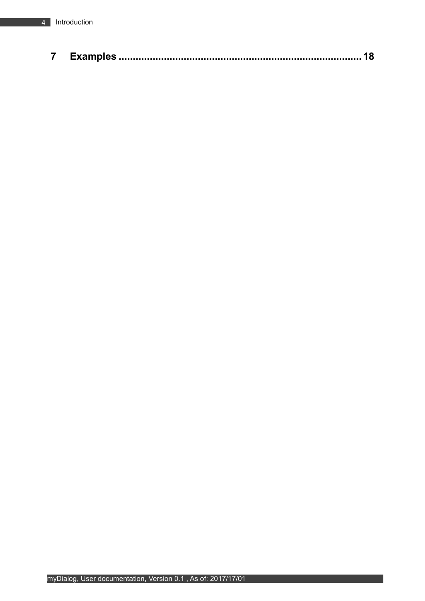|--|--|--|--|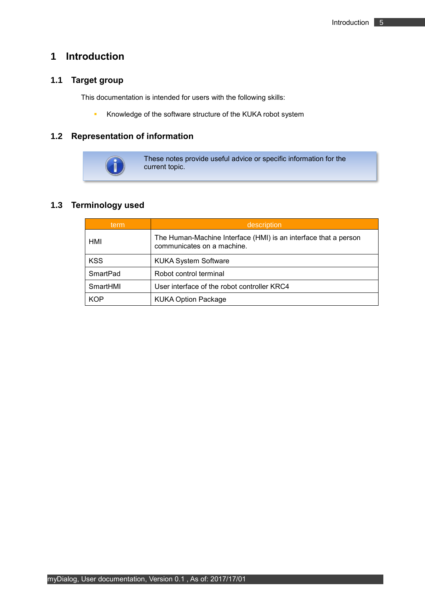# <span id="page-4-0"></span>**1 Introduction**

# <span id="page-4-1"></span>**1.1 Target group**

This documentation is intended for users with the following skills:

**EXEDM** Knowledge of the software structure of the KUKA robot system

## <span id="page-4-2"></span>**1.2 Representation of information**



These notes provide useful advice or specific information for the current topic.

## <span id="page-4-3"></span>**1.3 Terminology used**

| term       | description                                                                                   |  |
|------------|-----------------------------------------------------------------------------------------------|--|
| HMI        | The Human-Machine Interface (HMI) is an interface that a person<br>communicates on a machine. |  |
| <b>KSS</b> | <b>KUKA System Software</b>                                                                   |  |
| SmartPad   | Robot control terminal                                                                        |  |
| SmartHMI   | User interface of the robot controller KRC4                                                   |  |
| <b>KOP</b> | <b>KUKA Option Package</b>                                                                    |  |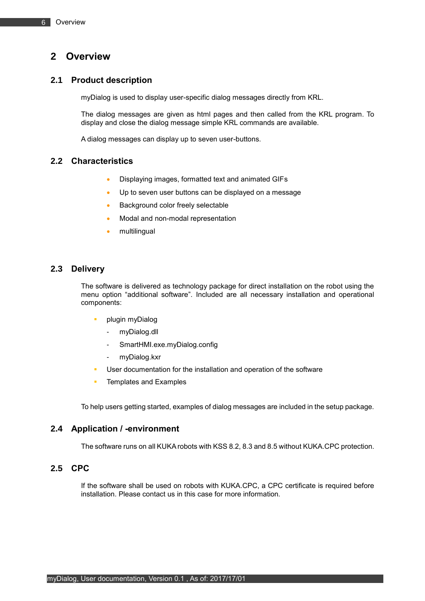# <span id="page-5-0"></span>**2 Overview**

## <span id="page-5-1"></span>**2.1 Product description**

myDialog is used to display user-specific dialog messages directly from KRL.

The dialog messages are given as html pages and then called from the KRL program. To display and close the dialog message simple KRL commands are available.

A dialog messages can display up to seven user-buttons.

## <span id="page-5-2"></span>**2.2 Characteristics**

- Displaying images, formatted text and animated GIFs
- Up to seven user buttons can be displayed on a message
- Background color freely selectable
- Modal and non-modal representation
- multilingual

## <span id="page-5-3"></span>**2.3 Delivery**

The software is delivered as technology package for direct installation on the robot using the menu option "additional software". Included are all necessary installation and operational components:

- plugin myDialog
	- myDialog.dll
	- SmartHMI.exe.myDialog.config
	- myDialog.kxr
- User documentation for the installation and operation of the software
- **EXAMPLE TEMPLATES** and Examples

To help users getting started, examples of dialog messages are included in the setup package.

## <span id="page-5-4"></span>**2.4 Application / -environment**

The software runs on all KUKA robots with KSS 8.2, 8.3 and 8.5 without KUKA.CPC protection.

## <span id="page-5-5"></span>**2.5 CPC**

If the software shall be used on robots with KUKA.CPC, a CPC certificate is required before installation. Please contact us in this case for more information.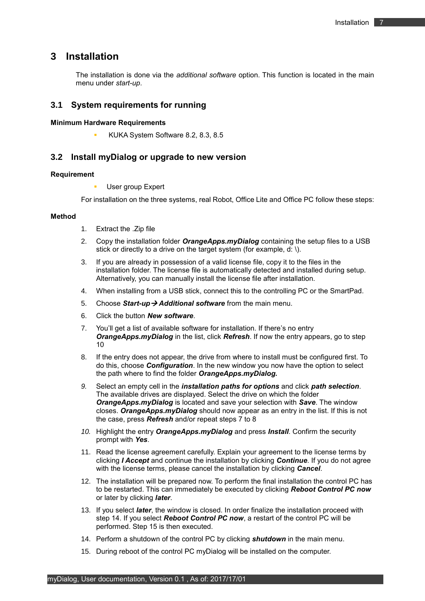## <span id="page-6-0"></span>**3 Installation**

The installation is done via the *additional software* option. This function is located in the main menu under *start-up*.

### <span id="page-6-1"></span>**3.1 System requirements for running**

#### **Minimum Hardware Requirements**

KUKA System Software 8.2, 8.3, 8.5

#### <span id="page-6-2"></span>**3.2 Install myDialog or upgrade to new version**

#### **Requirement**

User group Expert

For installation on the three systems, real Robot, Office Lite and Office PC follow these steps:

#### **Method**

- 1. Extract the .Zip file
- 2. Copy the installation folder *OrangeApps.myDialog* containing the setup files to a USB stick or directly to a drive on the target system (for example, d: \).
- 3. If you are already in possession of a valid license file, copy it to the files in the installation folder. The license file is automatically detected and installed during setup. Alternatively, you can manually install the license file after installation.
- 4. When installing from a USB stick, connect this to the controlling PC or the SmartPad.
- 5. Choose *Start-up*→ *Additional software* from the main menu.
- 6. Click the button *New software*.
- 7. You'll get a list of available software for installation. If there's no entry *OrangeApps.myDialog* in the list, click *Refresh*. If now the entry appears, go to step 10
- 8. If the entry does not appear, the drive from where to install must be configured first. To do this, choose *Configuration*. In the new window you now have the option to select the path where to find the folder *OrangeApps.myDialog.*
- *9.* Select an empty cell in the *installation paths for options* and click *path selection*. The available drives are displayed. Select the drive on which the folder *OrangeApps.myDialog* is located and save your selection with *Save*. The window closes. *OrangeApps.myDialog* should now appear as an entry in the list. If this is not the case, press *Refresh* and/or repeat steps 7 to 8
- *10.* Highlight the entry *OrangeApps.myDialog* and press *Install*. Confirm the security prompt with *Yes*.
- 11. Read the license agreement carefully. Explain your agreement to the license terms by clicking *I Accept* and continue the installation by clicking *Continue*. If you do not agree with the license terms, please cancel the installation by clicking *Cancel*.
- 12. The installation will be prepared now. To perform the final installation the control PC has to be restarted. This can immediately be executed by clicking *Reboot Control PC now* or later by clicking *later*.
- 13. If you select *later*, the window is closed. In order finalize the installation proceed with step 14. If you select *Reboot Control PC now*, a restart of the control PC will be performed. Step 15 is then executed.
- 14. Perform a shutdown of the control PC by clicking *shutdown* in the main menu.
- 15. During reboot of the control PC myDialog will be installed on the computer.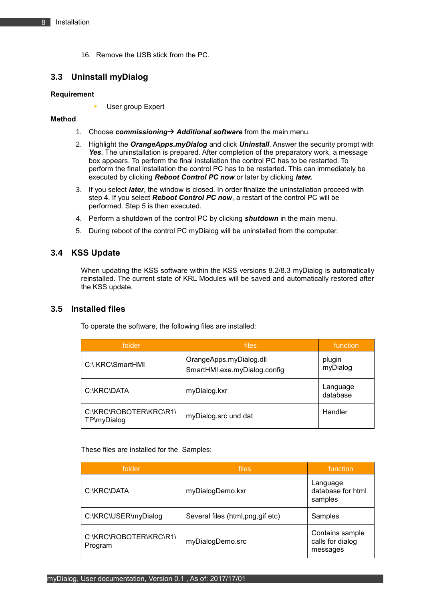16. Remove the USB stick from the PC.

## <span id="page-7-0"></span>**3.3 Uninstall myDialog**

#### **Requirement**

User group Expert

#### **Method**

- 1. Choose *commissioning*→ *Additional software* from the main menu.
- 2. Highlight the *OrangeApps.myDialog* and click *Uninstall*. Answer the security prompt with *Yes*. The uninstallation is prepared. After completion of the preparatory work, a message box appears. To perform the final installation the control PC has to be restarted. To perform the final installation the control PC has to be restarted. This can immediately be executed by clicking *Reboot Control PC now* or later by clicking *later.*
- 3. If you select *later*, the window is closed. In order finalize the uninstallation proceed with step 4. If you select *Reboot Control PC now*, a restart of the control PC will be performed. Step 5 is then executed.
- 4. Perform a shutdown of the control PC by clicking *shutdown* in the main menu.
- 5. During reboot of the control PC myDialog will be uninstalled from the computer.

## <span id="page-7-1"></span>**3.4 KSS Update**

When updating the KSS software within the KSS versions 8.2/8.3 myDialog is automatically reinstalled. The current state of KRL Modules will be saved and automatically restored after the KSS update.

## <span id="page-7-2"></span>**3.5 Installed files**

To operate the software, the following files are installed:

| folder                                | files                                                   | function             |
|---------------------------------------|---------------------------------------------------------|----------------------|
| C:\ KRC\SmartHMI                      | OrangeApps.myDialog.dll<br>SmartHMI.exe.myDialog.config | plugin<br>myDialog   |
| C:\KRC\DATA                           | myDialog.kxr                                            | Language<br>database |
| C:\KRC\ROBOTER\KRC\R1\<br>TP\myDialog | myDialog.src und dat                                    | Handler              |

These files are installed for the Samples:

| folder                            | files                            | function                                        |
|-----------------------------------|----------------------------------|-------------------------------------------------|
| C:\KRC\DATA                       | myDialogDemo.kxr                 | Language<br>database for html<br>samples        |
| C:\KRC\USER\myDialog              | Several files (html,png,gif etc) | Samples                                         |
| C:\KRC\ROBOTER\KRC\R1\<br>Program | myDialogDemo.src                 | Contains sample<br>calls for dialog<br>messages |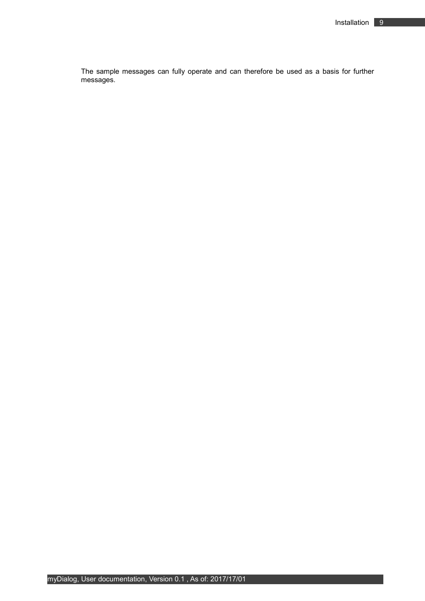The sample messages can fully operate and can therefore be used as a basis for further messages.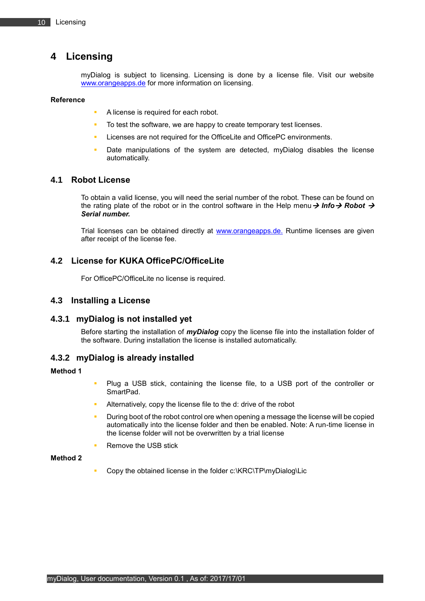# <span id="page-9-0"></span>**4 Licensing**

myDialog is subject to licensing. Licensing is done by a license file. Visit our website [www.orangeapps.de](http://www.orangeapps.de/) for more information on licensing.

#### **Reference**

- A license is required for each robot.
- To test the software, we are happy to create temporary test licenses.
- Licenses are not required for the OfficeLite and OfficePC environments.
- Date manipulations of the system are detected, myDialog disables the license automatically.

## <span id="page-9-1"></span>**4.1 Robot License**

To obtain a valid license, you will need the serial number of the robot. These can be found on the rating plate of the robot or in the control software in the Help menu→ *Info*→ *Robot* → *Serial number.*

Trial licenses can be obtained directly at **www.orangeapps.de.** Runtime licenses are given after receipt of the license fee.

## <span id="page-9-2"></span>**4.2 License for KUKA OfficePC/OfficeLite**

For OfficePC/OfficeLite no license is required.

## <span id="page-9-3"></span>**4.3 Installing a License**

#### <span id="page-9-4"></span>**4.3.1 myDialog is not installed yet**

Before starting the installation of *myDialog* copy the license file into the installation folder of the software. During installation the license is installed automatically.

## <span id="page-9-5"></span>**4.3.2 myDialog is already installed**

#### **Method 1**

- Plug a USB stick, containing the license file, to a USB port of the controller or SmartPad.
- Alternatively, copy the license file to the d: drive of the robot
- During boot of the robot control ore when opening a message the license will be copied automatically into the license folder and then be enabled. Note: A run-time license in the license folder will not be overwritten by a trial license
- Remove the USB stick

#### **Method 2**

Copy the obtained license in the folder c:\KRC\TP\myDialog\Lic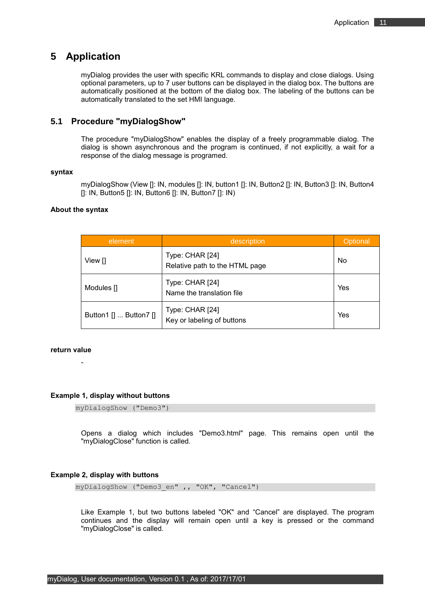## <span id="page-10-0"></span>**5 Application**

myDialog provides the user with specific KRL commands to display and close dialogs. Using optional parameters, up to 7 user buttons can be displayed in the dialog box. The buttons are automatically positioned at the bottom of the dialog box. The labeling of the buttons can be automatically translated to the set HMI language.

## <span id="page-10-1"></span>**5.1 Procedure "myDialogShow"**

The procedure "myDialogShow" enables the display of a freely programmable dialog. The dialog is shown asynchronous and the program is continued, if not explicitly, a wait for a response of the dialog message is programed.

#### **syntax**

myDialogShow (View []: IN, modules []: IN, button1 []: IN, Button2 []: IN, Button3 []: IN, Button4  $[$ []: IN, Button5  $[$ ]: IN, Button6  $[$ ]: IN, Button7  $[$ ]: IN)

#### **About the syntax**

| element                | description                                       | Optional |
|------------------------|---------------------------------------------------|----------|
| View []                | Type: CHAR [24]<br>Relative path to the HTML page | No       |
| Modules []             | Type: CHAR [24]<br>Name the translation file      | Yes      |
| Button1 []  Button7 [] | Type: CHAR [24]<br>Key or labeling of buttons     | Yes      |

#### **return value**

-

**Example 1, display without buttons**

```
myDialogShow ("Demo3")
```
Opens a dialog which includes "Demo3.html" page. This remains open until the "myDialogClose" function is called.

#### **Example 2, display with buttons**

myDialogShow ("Demo3 en" ,, "OK", "Cancel")

Like Example 1, but two buttons labeled "OK" and "Cancel" are displayed. The program continues and the display will remain open until a key is pressed or the command "myDialogClose" is called.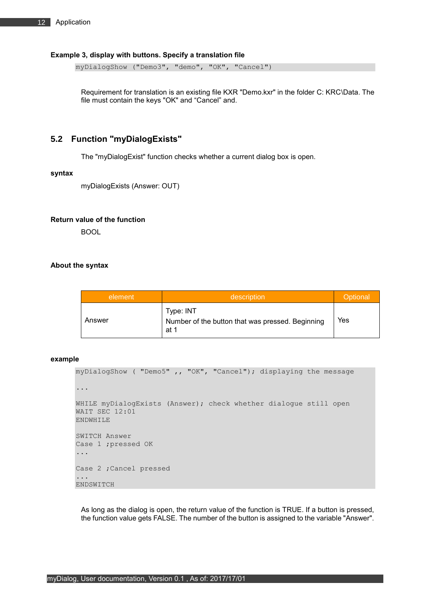#### **Example 3, display with buttons. Specify a translation file**

myDialogShow ("Demo3", "demo", "OK", "Cancel")

Requirement for translation is an existing file KXR "Demo.kxr" in the folder C: KRC\Data. The file must contain the keys "OK" and "Cancel" and.

### <span id="page-11-0"></span>**5.2 Function "myDialogExists"**

The "myDialogExist" function checks whether a current dialog box is open.

#### **syntax**

myDialogExists (Answer: OUT)

#### **Return value of the function**

BOOL

#### **About the syntax**

| description<br>element |                                                                       | Optional |
|------------------------|-----------------------------------------------------------------------|----------|
| Answer                 | Type: INT<br>Number of the button that was pressed. Beginning<br>at 1 | Yes      |

#### **example**

```
myDialogShow ( "Demo5" ,, "OK", "Cancel"); displaying the message
...
WHILE myDialogExists (Answer); check whether dialogue still open
WAIT SEC 12:01
ENDWHILE
SWITCH Answer
Case 1 ;pressed OK
...
Case 2 ;Cancel pressed
...
ENDSWITCH
```
As long as the dialog is open, the return value of the function is TRUE. If a button is pressed, the function value gets FALSE. The number of the button is assigned to the variable "Answer".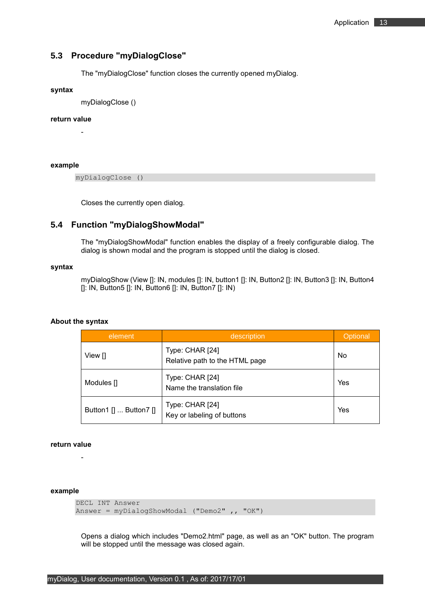## <span id="page-12-0"></span>**5.3 Procedure "myDialogClose"**

The "myDialogClose" function closes the currently opened myDialog.

#### **syntax**

myDialogClose ()

#### **return value**

-

**example** 

myDialogClose ()

Closes the currently open dialog.

### <span id="page-12-1"></span>**5.4 Function "myDialogShowModal"**

The "myDialogShowModal" function enables the display of a freely configurable dialog. The dialog is shown modal and the program is stopped until the dialog is closed.

#### **syntax**

myDialogShow (View []: IN, modules []: IN, button1 []: IN, Button2 []: IN, Button3 []: IN, Button4 []: IN, Button5 []: IN, Button6 []: IN, Button7 []: IN)

#### **About the syntax**

| element                | description                                       | Optional |
|------------------------|---------------------------------------------------|----------|
| View []                | Type: CHAR [24]<br>Relative path to the HTML page | No       |
| Modules []             | Type: CHAR [24]<br>Name the translation file      | Yes      |
| Button1 []  Button7 [] | Type: CHAR [24]<br>Key or labeling of buttons     | Yes      |

#### **return value**

-

#### **example**

```
DECL INT Answer
Answer = myDialogShowModal ("Demo2" ,, "OK")
```
Opens a dialog which includes "Demo2.html" page, as well as an "OK" button. The program will be stopped until the message was closed again.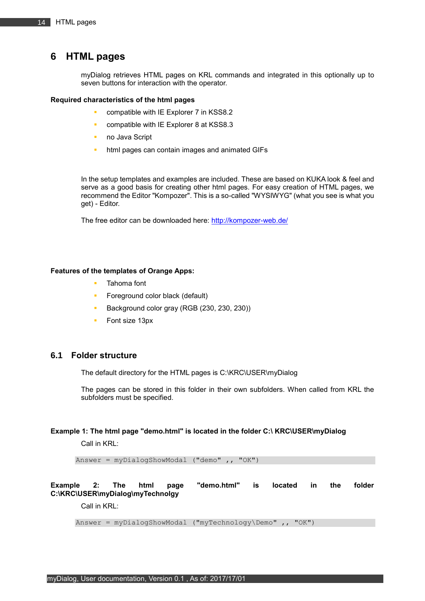## <span id="page-13-0"></span>**6 HTML pages**

myDialog retrieves HTML pages on KRL commands and integrated in this optionally up to seven buttons for interaction with the operator.

#### **Required characteristics of the html pages**

- compatible with IE Explorer 7 in KSS8.2
- compatible with IE Explorer 8 at KSS8.3
- no Java Script
- html pages can contain images and animated GIFs

In the setup templates and examples are included. These are based on KUKA look & feel and serve as a good basis for creating other html pages. For easy creation of HTML pages, we recommend the Editor "Kompozer". This is a so-called "WYSIWYG" (what you see is what you get) - Editor.

The free editor can be downloaded here:<http://kompozer-web.de/>

#### **Features of the templates of Orange Apps:**

- Tahoma font
- Foreground color black (default)
- Background color gray (RGB (230, 230, 230))
- Font size 13px

## <span id="page-13-1"></span>**6.1 Folder structure**

The default directory for the HTML pages is C:\KRC\USER\myDialog

The pages can be stored in this folder in their own subfolders. When called from KRL the subfolders must be specified.

#### **Example 1: The html page "demo.html" is located in the folder C:\ KRC\USER\myDialog**

Call in KRL:

Answer = myDialogShowModal ("demo" ,, "OK")

### **Example 2: The html page "demo.html" is located in the folder C:\KRC\USER\myDialog\myTechnolgy**

Call in KRL:

Answer =  $myDialogShowModal$  (" $myTechnology\Demo"$ , "OK")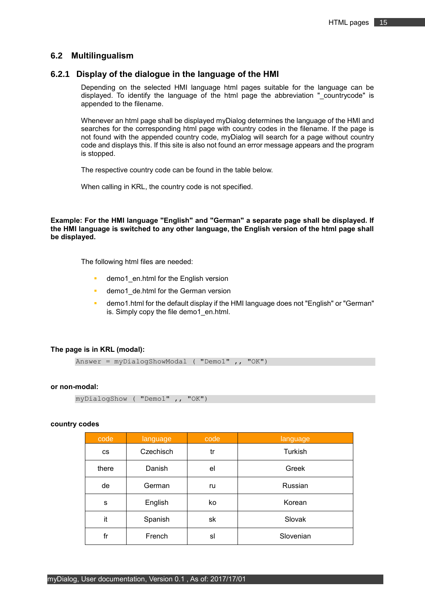#### <span id="page-14-0"></span>**6.2 Multilingualism**

### <span id="page-14-1"></span>**6.2.1 Display of the dialogue in the language of the HMI**

Depending on the selected HMI language html pages suitable for the language can be displayed. To identify the language of the html page the abbreviation " countrycode" is appended to the filename.

Whenever an html page shall be displayed myDialog determines the language of the HMI and searches for the corresponding html page with country codes in the filename. If the page is not found with the appended country code, myDialog will search for a page without country code and displays this. If this site is also not found an error message appears and the program is stopped.

The respective country code can be found in the table below.

When calling in KRL, the country code is not specified.

**Example: For the HMI language "English" and "German" a separate page shall be displayed. If the HMI language is switched to any other language, the English version of the html page shall be displayed.**

The following html files are needed:

- demo1 en.html for the English version
- demo1\_de.html for the German version
- demo1.html for the default display if the HMI language does not "English" or "German" is. Simply copy the file demo1 en.html.

#### **The page is in KRL (modal):**

```
Answer = myDialogShowModal ( "Demo1" ,, "OK")
```
#### **or non-modal:**

```
myDialogShow ( "Demo1" ,, "OK")
```
#### **country codes**

| code      | language  | code | language  |
|-----------|-----------|------|-----------|
| <b>CS</b> | Czechisch | tr   | Turkish   |
| there     | Danish    | el   | Greek     |
| de        | German    | ru   | Russian   |
| s         | English   | ko   | Korean    |
| it        | Spanish   | sk   | Slovak    |
| fr        | French    | sl   | Slovenian |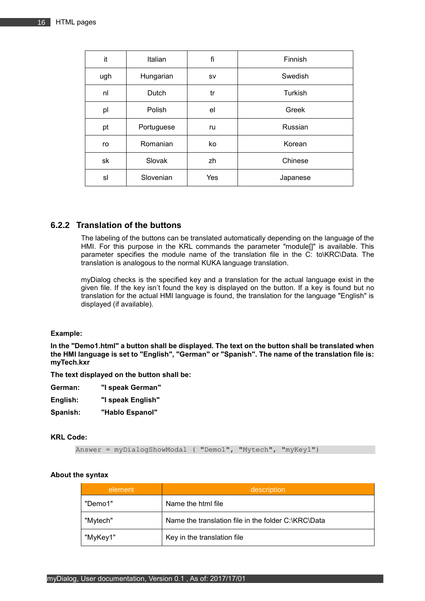| it  | Italian    | fi  | Finnish  |
|-----|------------|-----|----------|
| ugh | Hungarian  | sv  | Swedish  |
| nl  | Dutch      | tr  | Turkish  |
| pl  | Polish     | el  | Greek    |
| pt  | Portuguese | ru  | Russian  |
| ro  | Romanian   | ko  | Korean   |
| sk  | Slovak     | zh  | Chinese  |
| sl  | Slovenian  | Yes | Japanese |

## <span id="page-15-0"></span>**6.2.2 Translation of the buttons**

The labeling of the buttons can be translated automatically depending on the language of the HMI. For this purpose in the KRL commands the parameter "module[]" is available. This parameter specifies the module name of the translation file in the C: to\KRC\Data. The translation is analogous to the normal KUKA language translation.

myDialog checks is the specified key and a translation for the actual language exist in the given file. If the key isn't found the key is displayed on the button. If a key is found but no translation for the actual HMI language is found, the translation for the language "English" is displayed (if available).

#### **Example:**

**In the "Demo1.html" a button shall be displayed. The text on the button shall be translated when the HMI language is set to "English", "German" or "Spanish". The name of the translation file is: myTech.kxr**

**The text displayed on the button shall be:**

| German: | "I speak German" |
|---------|------------------|
|---------|------------------|

| English: | "I speak English" |
|----------|-------------------|
|          |                   |

**Spanish: "Hablo Espanol"**

#### **KRL Code:**

Answer = myDialogShowModal ( "Demo1", "Mytech", "myKey1")

#### **About the syntax**

| element  | description                                         |
|----------|-----------------------------------------------------|
| "Demo1"  | Name the html file                                  |
| "Mytech" | Name the translation file in the folder C:\KRC\Data |
| "MyKey1" | Key in the translation file                         |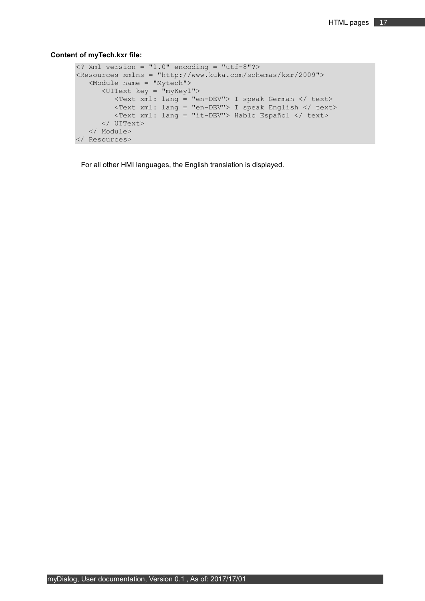#### **Content of myTech.kxr file:**

```
\langle? Xml version = "1.0" encoding = "utf-8"?>
<Resources xmlns = "http://www.kuka.com/schemas/kxr/2009">
    <Module name = "Mytech">
       <UIText key = "myKey1">
          <Text xml: lang = "en-DEV"> I speak German </ text>
          <Text xml: lang = "en-DEV"> I speak English </ text>
          <Text xml: lang = "it-DEV"> Hablo Español </ text>
       </ UIText>
    </ Module>
</ Resources>
```
For all other HMI languages, the English translation is displayed.